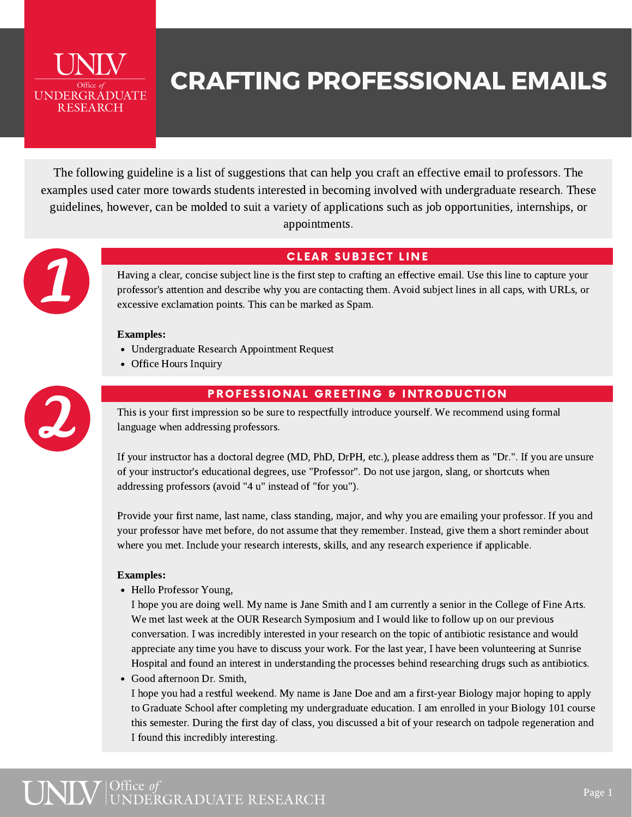

## CRAFTING PROFESSIONAL EMAILS

The following guideline is a list of suggestions that can help you craft an effective email to professors. The examples used cater more towards students interested in becoming involved with undergraduate research. These guidelines, however, can be molded to suit a variety of applications such as job opportunities, internships, or appointments.



## **CLEAR SUBJECT LINE**

Having a clear, concise subject line is the first step to crafting an effective email. Use this line to capture your professor's attention and describe why you are contacting them. Avoid subject lines in all caps, with URLs, or excessive exclamation points. This can be marked as Spam.

#### Examples:

- Undergraduate Research Appointment Request
- Office Hours Inquiry



### PROFESSIONAL GREETING & INTRODUCTION

This is your first impression so be sure to respectfully introduce yourself. We recommend using formal language when addressing professors.

If your instructor has a doctoral degree (MD, PhD, DrPH, etc.), please address them as "Dr.". If you are unsure of your instructor's educational degrees, use "Professor". Do not use jargon, slang, or shortcuts when addressing professors (avoid "4 u" instead of "for you").

Provide your first name, last name, class standing, major, and why you are emailing your professor. If you and your professor have met before, do not assume that they remember. Instead, give them a short reminder about where you met. Include your research interests, skills, and any research experience if applicable.

#### Examples:

• Hello Professor Young,

I hope you are doing well. My name is Jane Smith and I am currently a senior in the College of Fine Arts. We met last week at the OUR Research Symposium and I would like to follow up on our previous conversation. I was incredibly interested in your research on the topic of antibiotic resistance and would appreciate any time you have to discuss your work. For the last year, I have been volunteering at Sunrise Hospital and found an interest in understanding the processes behind researching drugs such as antibiotics.

Good afternoon Dr. Smith,

I hope you had a restful weekend. My name is Jane Doe and am a first-year Biology major hoping to apply to Graduate School after completing my undergraduate education. I am enrolled in your Biology 101 course this semester. During the first day of class, you discussed a bit of your research on tadpole regeneration and I found this incredibly interesting.